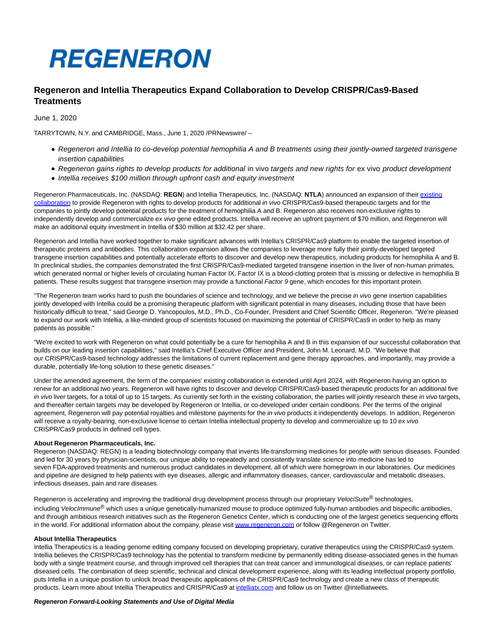# **REGENERON**

## **Regeneron and Intellia Therapeutics Expand Collaboration to Develop CRISPR/Cas9-Based Treatments**

June 1, 2020

TARRYTOWN, N.Y. and CAMBRIDGE, Mass., June 1, 2020 /PRNewswire/ --

- Regeneron and Intellia to co-develop potential hemophilia A and B treatments using their jointly-owned targeted transgene insertion capabilities
- Regeneron gains rights to develop products for additional in vivo targets and new rights for ex vivo product development
- Intellia receives \$100 million through upfront cash and equity investment

Regeneron Pharmaceuticals, Inc. (NASDAQ: **REGN**) and Intellia Therapeutics, Inc. (NASDAQ: **NTLA**) announced an expansion of thei[r existing](https://c212.net/c/link/?t=0&l=en&o=2817866-1&h=1468219334&u=https%3A%2F%2Fnewsroom.regeneron.com%2Fnews-releases%2Fnews-release-details%2Fregeneron-and-intellia-therapeutics-announce-collaboration&a=existing+collaboration) collaboration to provide Regeneron with rights to develop products for additional in vivo CRISPR/Cas9-based therapeutic targets and for the companies to jointly develop potential products for the treatment of hemophilia A and B. Regeneron also receives non-exclusive rights to independently develop and commercialize ex vivo gene edited products. Intellia will receive an upfront payment of \$70 million, and Regeneron will make an additional equity investment in Intellia of \$30 million at \$32.42 per share.

Regeneron and Intellia have worked together to make significant advances with Intellia's CRISPR/Cas9 platform to enable the targeted insertion of therapeutic proteins and antibodies. This collaboration expansion allows the companies to leverage more fully their jointly-developed targeted transgene insertion capabilities and potentially accelerate efforts to discover and develop new therapeutics, including products for hemophilia A and B. In preclinical studies, the companies demonstrated the first CRISPR/Cas9-mediated targeted transgene insertion in the liver of non-human primates, which generated normal or higher levels of circulating human Factor IX. Factor IX is a blood-clotting protein that is missing or defective in hemophilia B patients. These results suggest that transgene insertion may provide a functional Factor 9 gene, which encodes for this important protein.

"The Regeneron team works hard to push the boundaries of science and technology, and we believe the precise in vivo gene insertion capabilities jointly developed with Intellia could be a promising therapeutic platform with significant potential in many diseases, including those that have been historically difficult to treat," said George D. Yancopoulos, M.D., Ph.D., Co-Founder, President and Chief Scientific Officer, Regeneron. "We're pleased to expand our work with Intellia, a like-minded group of scientists focused on maximizing the potential of CRISPR/Cas9 in order to help as many patients as possible."

"We're excited to work with Regeneron on what could potentially be a cure for hemophilia A and B in this expansion of our successful collaboration that builds on our leading insertion capabilities," said Intellia's Chief Executive Officer and President, John M. Leonard, M.D. "We believe that our CRISPR/Cas9-based technology addresses the limitations of current replacement and gene therapy approaches, and importantly, may provide a durable, potentially life-long solution to these genetic diseases."

Under the amended agreement, the term of the companies' existing collaboration is extended until April 2024, with Regeneron having an option to renew for an additional two years. Regeneron will have rights to discover and develop CRISPR/Cas9-based therapeutic products for an additional five in vivo liver targets, for a total of up to 15 targets. As currently set forth in the existing collaboration, the parties will jointly research these in vivo targets, and thereafter certain targets may be developed by Regeneron or Intellia, or co-developed under certain conditions. Per the terms of the original agreement, Regeneron will pay potential royalties and milestone payments for the in vivo products it independently develops. In addition, Regeneron will receive a royalty-bearing, non-exclusive license to certain Intellia intellectual property to develop and commercialize up to 10 ex vivo CRISPR/Cas9 products in defined cell types.

### **About Regeneron Pharmaceuticals, Inc.**

Regeneron (NASDAQ: REGN) is a leading biotechnology company that invents life-transforming medicines for people with serious diseases. Founded and led for 30 years by physician-scientists, our unique ability to repeatedly and consistently translate science into medicine has led to seven FDA-approved treatments and numerous product candidates in development, all of which were homegrown in our laboratories. Our medicines and pipeline are designed to help patients with eye diseases, allergic and inflammatory diseases, cancer, cardiovascular and metabolic diseases, infectious diseases, pain and rare diseases.

Regeneron is accelerating and improving the traditional drug development process through our proprietary VelociSuite<sup>®</sup> technologies, including VelocImmune<sup>®</sup> which uses a unique genetically-humanized mouse to produce optimized fully-human antibodies and bispecific antibodies, and through ambitious research initiatives such as the Regeneron Genetics Center, which is conducting one of the largest genetics sequencing efforts in the world. For additional information about the company, please visi[t www.regeneron.com o](https://c212.net/c/link/?t=0&l=en&o=2817866-1&h=4079509870&u=https%3A%2F%2Fc212.net%2Fc%2Flink%2F%3Ft%3D0%26l%3Den%26o%3D2633223-1%26h%3D3758137775%26u%3Dhttps%253A%252F%252Fc212.net%252Fc%252Flink%252F%253Ft%253D0%2526l%253Den%2526o%253D2587135-1%2526h%253D3873099141%2526u%253Dhttp%25253A%25252F%25252Fwww.regeneron.com%25252F%2526a%253Dwww.regeneron.com%26a%3Dwww.regeneron.com&a=www.regeneron.com)r follow @Regeneron on Twitter.

### **About Intellia Therapeutics**

Intellia Therapeutics is a leading genome editing company focused on developing proprietary, curative therapeutics using the CRISPR/Cas9 system. Intellia believes the CRISPR/Cas9 technology has the potential to transform medicine by permanently editing disease-associated genes in the human body with a single treatment course, and through improved cell therapies that can treat cancer and immunological diseases, or can replace patients' diseased cells. The combination of deep scientific, technical and clinical development experience, along with its leading intellectual property portfolio, puts Intellia in a unique position to unlock broad therapeutic applications of the CRISPR/Cas9 technology and create a new class of therapeutic products. Learn more about Intellia Therapeutics and CRISPR/Cas9 a[t intelliatx.com a](https://c212.net/c/link/?t=0&l=en&o=2817866-1&h=1525680683&u=https%3A%2F%2Fwww.globenewswire.com%2FTracker%3Fdata%3DvQVnOnLUC7ubo6Z5DyRtTPGbKPxtueNPsr3g4mk1tfh0ilvGy6uEd8iJJOV9t-t4eS3oXm9DQi7lgTAZ7z1OjRiY28Dr_QVn01_JJHRQ7PQJ-hwijv-8ivRFgMM8jlA19MCnkRlYDejRdJQYVTZHrKXBMCsJt43_P9iGEDLronUwoFTUoCybISKqJDBpkeItNQ6vo11NKekd98EPnCov2V6mo0chJ2F0T-vYGKfhSHs%3D&a=intelliatx.com)nd follow us on Twitter @intelliatweets.

### **Regeneron Forward-Looking Statements and Use of Digital Media**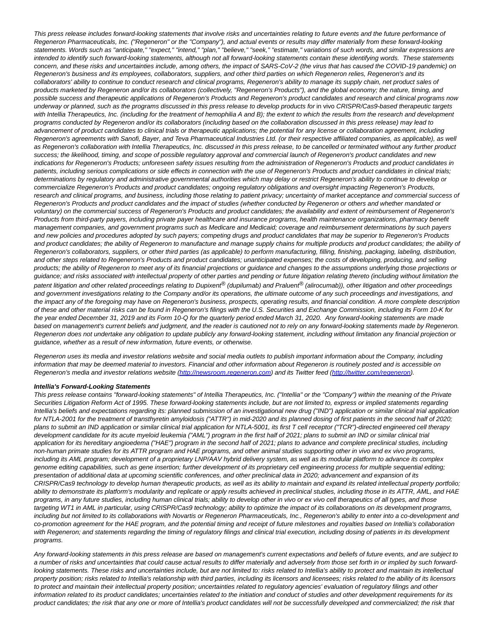This press release includes forward-looking statements that involve risks and uncertainties relating to future events and the future performance of Regeneron Pharmaceuticals, Inc. ("Regeneron" or the "Company"), and actual events or results may differ materially from these forward-looking statements. Words such as "anticipate," "expect," "intend," "plan," "believe," "seek," "estimate," variations of such words, and similar expressions are intended to identify such forward-looking statements, although not all forward-looking statements contain these identifying words. These statements concern, and these risks and uncertainties include, among others, the impact of SARS-CoV-2 (the virus that has caused the COVID-19 pandemic) on Regeneron's business and its employees, collaborators, suppliers, and other third parties on which Regeneron relies, Regeneron's and its collaborators' ability to continue to conduct research and clinical programs, Regeneron's ability to manage its supply chain, net product sales of products marketed by Regeneron and/or its collaborators (collectively, "Regeneron's Products"), and the global economy; the nature, timing, and possible success and therapeutic applications of Regeneron's Products and Regeneron's product candidates and research and clinical programs now underway or planned, such as the programs discussed in this press release to develop products for in vivo CRISPR/Cas9-based therapeutic targets with Intellia Therapeutics, Inc. (including for the treatment of hemophilia A and B); the extent to which the results from the research and development programs conducted by Regeneron and/or its collaborators (including based on the collaboration discussed in this press release) may lead to advancement of product candidates to clinical trials or therapeutic applications; the potential for any license or collaboration agreement, including Regeneron's agreements with Sanofi, Bayer, and Teva Pharmaceutical Industries Ltd. (or their respective affiliated companies, as applicable), as well as Regeneron's collaboration with Intellia Therapeutics, Inc. discussed in this press release, to be cancelled or terminated without any further product success; the likelihood, timing, and scope of possible regulatory approval and commercial launch of Regeneron's product candidates and new indications for Regeneron's Products; unforeseen safety issues resulting from the administration of Regeneron's Products and product candidates in patients, including serious complications or side effects in connection with the use of Regeneron's Products and product candidates in clinical trials; determinations by regulatory and administrative governmental authorities which may delay or restrict Regeneron's ability to continue to develop or commercialize Regeneron's Products and product candidates; ongoing regulatory obligations and oversight impacting Regeneron's Products, research and clinical programs, and business, including those relating to patient privacy; uncertainty of market acceptance and commercial success of Regeneron's Products and product candidates and the impact of studies (whether conducted by Regeneron or others and whether mandated or voluntary) on the commercial success of Regeneron's Products and product candidates; the availability and extent of reimbursement of Regeneron's Products from third-party payers, including private payer healthcare and insurance programs, health maintenance organizations, pharmacy benefit management companies, and government programs such as Medicare and Medicaid; coverage and reimbursement determinations by such payers and new policies and procedures adopted by such payers; competing drugs and product candidates that may be superior to Regeneron's Products and product candidates; the ability of Regeneron to manufacture and manage supply chains for multiple products and product candidates; the ability of Regeneron's collaborators, suppliers, or other third parties (as applicable) to perform manufacturing, filling, finishing, packaging, labeling, distribution, and other steps related to Regeneron's Products and product candidates; unanticipated expenses; the costs of developing, producing, and selling products; the ability of Regeneron to meet any of its financial projections or guidance and changes to the assumptions underlying those projections or guidance; and risks associated with intellectual property of other parties and pending or future litigation relating thereto (including without limitation the patent litigation and other related proceedings relating to Dupixent<sup>®</sup> (dupilumab) and Praluent<sup>®</sup> (alirocumab)), other litigation and other proceedings and government investigations relating to the Company and/or its operations, the ultimate outcome of any such proceedings and investigations, and the impact any of the foregoing may have on Regeneron's business, prospects, operating results, and financial condition. A more complete description of these and other material risks can be found in Regeneron's filings with the U.S. Securities and Exchange Commission, including its Form 10-K for the year ended December 31, 2019 and its Form 10-Q for the quarterly period ended March 31, 2020. Any forward-looking statements are made based on management's current beliefs and judgment, and the reader is cautioned not to rely on any forward-looking statements made by Regeneron. Regeneron does not undertake any obligation to update publicly any forward-looking statement, including without limitation any financial projection or guidance, whether as a result of new information, future events, or otherwise.

Regeneron uses its media and investor relations website and social media outlets to publish important information about the Company, including information that may be deemed material to investors. Financial and other information about Regeneron is routinely posted and is accessible on Regeneron's media and investor relations website [\(http://newsroom.regeneron.com\)](http://newsroom.regeneron.com/) and its Twitter feed [\(http://twitter.com/regeneron\).](https://c212.net/c/link/?t=0&l=en&o=2817866-1&h=3605338048&u=http%3A%2F%2Ftwitter.com%2Fregeneron&a=http%3A%2F%2Ftwitter.com%2Fregeneron)

#### **Intellia's Forward-Looking Statements**

This press release contains "forward-looking statements" of Intellia Therapeutics, Inc. ("Intellia" or the "Company") within the meaning of the Private Securities Litigation Reform Act of 1995. These forward-looking statements include, but are not limited to, express or implied statements regarding Intellia's beliefs and expectations regarding its: planned submission of an investigational new drug ("IND") application or similar clinical trial application for NTLA-2001 for the treatment of transthyretin amyloidosis ("ATTR") in mid-2020 and its planned dosing of first patients in the second half of 2020; plans to submit an IND application or similar clinical trial application for NTLA-5001, its first T cell receptor ("TCR")-directed engineered cell therapy development candidate for its acute myeloid leukemia ("AML") program in the first half of 2021; plans to submit an IND or similar clinical trial application for its hereditary angioedema ("HAE") program in the second half of 2021; plans to advance and complete preclinical studies, including non-human primate studies for its ATTR program and HAE programs, and other animal studies supporting other in vivo and ex vivo programs, including its AML program; development of a proprietary LNP/AAV hybrid delivery system, as well as its modular platform to advance its complex genome editing capabilities, such as gene insertion; further development of its proprietary cell engineering process for multiple sequential editing; presentation of additional data at upcoming scientific conferences, and other preclinical data in 2020; advancement and expansion of its CRISPR/Cas9 technology to develop human therapeutic products, as well as its ability to maintain and expand its related intellectual property portfolio; ability to demonstrate its platform's modularity and replicate or apply results achieved in preclinical studies, including those in its ATTR, AML, and HAE programs, in any future studies, including human clinical trials; ability to develop other in vivo or ex vivo cell therapeutics of all types, and those targeting WT1 in AML in particular, using CRISPR/Cas9 technology; ability to optimize the impact of its collaborations on its development programs, including but not limited to its collaborations with Novartis or Regeneron Pharmaceuticals, Inc., Regeneron's ability to enter into a co-development and co-promotion agreement for the HAE program, and the potential timing and receipt of future milestones and royalties based on Intellia's collaboration with Regeneron; and statements regarding the timing of regulatory filings and clinical trial execution, including dosing of patients in its development programs.

Any forward-looking statements in this press release are based on management's current expectations and beliefs of future events, and are subject to a number of risks and uncertainties that could cause actual results to differ materially and adversely from those set forth in or implied by such forwardlooking statements. These risks and uncertainties include, but are not limited to: risks related to Intellia's ability to protect and maintain its intellectual property position; risks related to Intellia's relationship with third parties, including its licensors and licensees; risks related to the ability of its licensors to protect and maintain their intellectual property position; uncertainties related to regulatory agencies' evaluation of regulatory filings and other information related to its product candidates; uncertainties related to the initiation and conduct of studies and other development requirements for its product candidates; the risk that any one or more of Intellia's product candidates will not be successfully developed and commercialized; the risk that